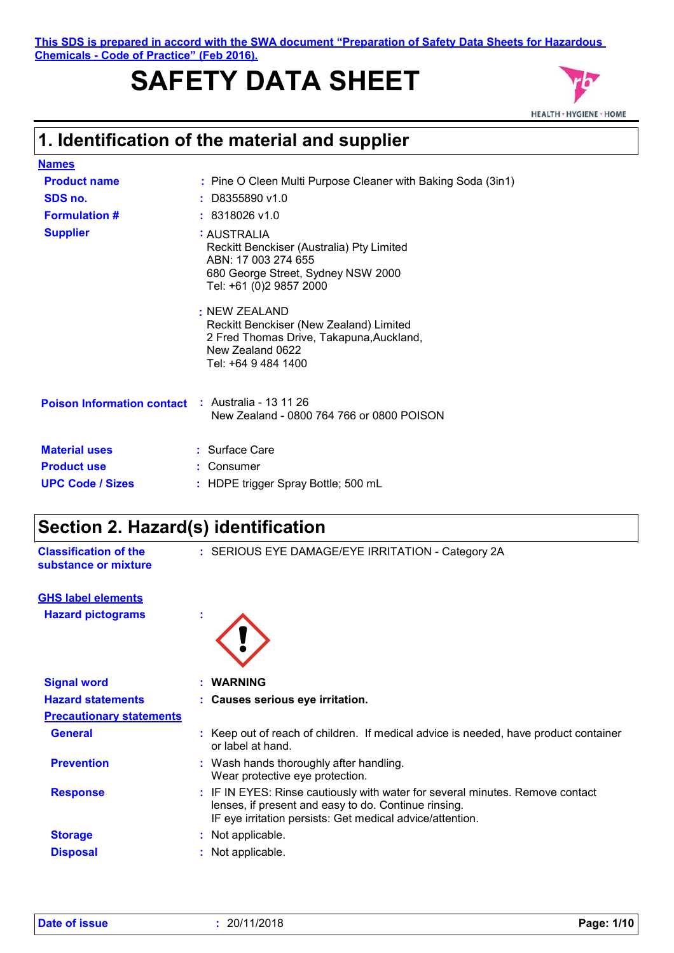**This SDS is prepared in accord with the SWA document "Preparation of Safety Data Sheets for Hazardous Chemicals - Code of Practice" (Feb 2016).**

# **SAFETY DATA SHEET**



## **1. Identification of the material and supplier**

| <b>Names</b>                      |                                                                                                                                                  |
|-----------------------------------|--------------------------------------------------------------------------------------------------------------------------------------------------|
| <b>Product name</b>               | : Pine O Cleen Multi Purpose Cleaner with Baking Soda (3in1)                                                                                     |
| SDS no.                           | $:$ D8355890 v1.0                                                                                                                                |
| <b>Formulation #</b>              | $: 8318026$ v1.0                                                                                                                                 |
| <b>Supplier</b>                   | : AUSTRALIA<br>Reckitt Benckiser (Australia) Pty Limited<br>ABN: 17 003 274 655<br>680 George Street, Sydney NSW 2000<br>Tel: +61 (0)2 9857 2000 |
|                                   | : NEW ZEALAND<br>Reckitt Benckiser (New Zealand) Limited<br>2 Fred Thomas Drive, Takapuna, Auckland,<br>New Zealand 0622<br>Tel: +64 9 484 1400  |
| <b>Poison Information contact</b> | $\therefore$ Australia - 13 11 26<br>New Zealand - 0800 764 766 or 0800 POISON                                                                   |
| <b>Material uses</b>              | $:$ Surface Care                                                                                                                                 |
| <b>Product use</b>                | : Consumer                                                                                                                                       |
| <b>UPC Code / Sizes</b>           | : HDPE trigger Spray Bottle; 500 mL                                                                                                              |

### **Section 2. Hazard(s) identification**

| <b>Classification of the</b> | : SE |
|------------------------------|------|
| substance or mixture         |      |

**Classification of the : SERIOUS EYE DAMAGE/EYE IRRITATION - Category 2A** 

#### **GHS label elements**

**Hazard pictograms :**



| <b>Signal word</b>              | <b>WARNING</b>                                                                                                                                                                                     |  |
|---------------------------------|----------------------------------------------------------------------------------------------------------------------------------------------------------------------------------------------------|--|
| <b>Hazard statements</b>        | : Causes serious eye irritation.                                                                                                                                                                   |  |
| <b>Precautionary statements</b> |                                                                                                                                                                                                    |  |
| <b>General</b>                  | : Keep out of reach of children. If medical advice is needed, have product container<br>or label at hand.                                                                                          |  |
| <b>Prevention</b>               | : Wash hands thoroughly after handling.<br>Wear protective eye protection.                                                                                                                         |  |
| <b>Response</b>                 | : IF IN EYES: Rinse cautiously with water for several minutes. Remove contact<br>lenses, if present and easy to do. Continue rinsing.<br>IF eye irritation persists: Get medical advice/attention. |  |
| <b>Storage</b>                  | Not applicable.                                                                                                                                                                                    |  |
| <b>Disposal</b>                 | Not applicable.                                                                                                                                                                                    |  |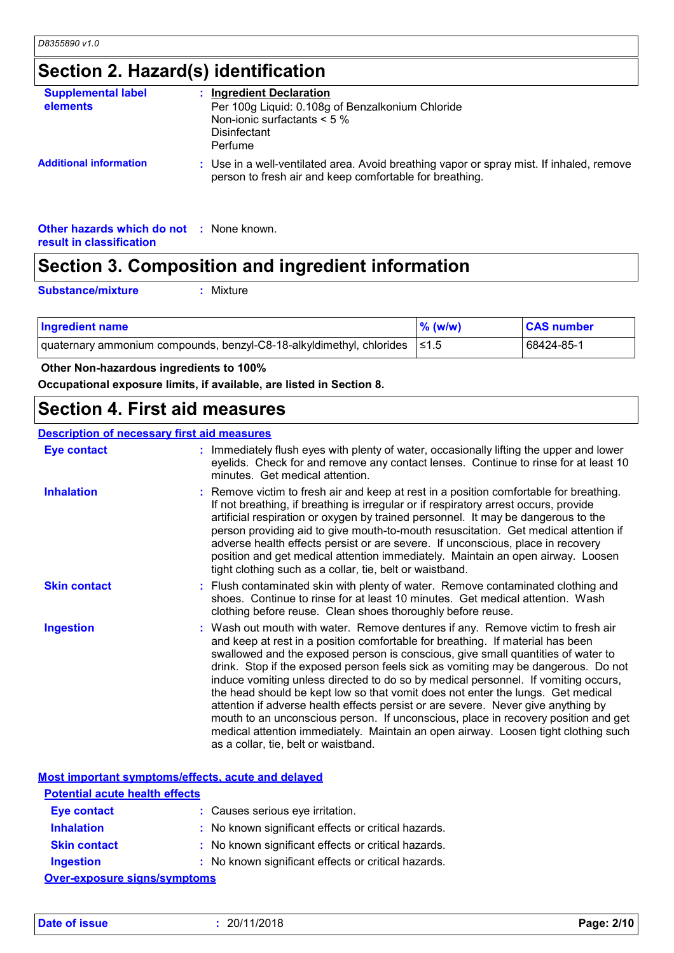# **Section 2. Hazard(s) identification**

| <b>Supplemental label</b><br>elements | <b>Ingredient Declaration</b><br>Per 100g Liquid: 0.108g of Benzalkonium Chloride<br>Non-ionic surfactants $< 5 \%$<br>Disinfectant<br>Perfume      |
|---------------------------------------|-----------------------------------------------------------------------------------------------------------------------------------------------------|
| <b>Additional information</b>         | : Use in a well-ventilated area. Avoid breathing vapor or spray mist. If inhaled, remove<br>person to fresh air and keep comfortable for breathing. |

**Other hazards which do not :** None known. **result in classification**

### **Section 3. Composition and ingredient information**

**Substance/mixture :**

Mixture

| <b>Ingredient name</b>                                                      | $%$ (w/w) | <b>CAS number</b> |
|-----------------------------------------------------------------------------|-----------|-------------------|
| quaternary ammonium compounds, benzyl-C8-18-alkyldimethyl, chlorides   ≤1.5 |           | 68424-85-1        |

 **Other Non-hazardous ingredients to 100%**

**Occupational exposure limits, if available, are listed in Section 8.**

### **Section 4. First aid measures**

#### **Description of necessary first aid measures**

| <b>Eye contact</b>  | : Immediately flush eyes with plenty of water, occasionally lifting the upper and lower<br>eyelids. Check for and remove any contact lenses. Continue to rinse for at least 10<br>minutes. Get medical attention.                                                                                                                                                                                                                                                                                                                                                                                                                                                                                                                                                                                                            |
|---------------------|------------------------------------------------------------------------------------------------------------------------------------------------------------------------------------------------------------------------------------------------------------------------------------------------------------------------------------------------------------------------------------------------------------------------------------------------------------------------------------------------------------------------------------------------------------------------------------------------------------------------------------------------------------------------------------------------------------------------------------------------------------------------------------------------------------------------------|
| <b>Inhalation</b>   | : Remove victim to fresh air and keep at rest in a position comfortable for breathing.<br>If not breathing, if breathing is irregular or if respiratory arrest occurs, provide<br>artificial respiration or oxygen by trained personnel. It may be dangerous to the<br>person providing aid to give mouth-to-mouth resuscitation. Get medical attention if<br>adverse health effects persist or are severe. If unconscious, place in recovery<br>position and get medical attention immediately. Maintain an open airway. Loosen<br>tight clothing such as a collar, tie, belt or waistband.                                                                                                                                                                                                                                 |
| <b>Skin contact</b> | : Flush contaminated skin with plenty of water. Remove contaminated clothing and<br>shoes. Continue to rinse for at least 10 minutes. Get medical attention. Wash<br>clothing before reuse. Clean shoes thoroughly before reuse.                                                                                                                                                                                                                                                                                                                                                                                                                                                                                                                                                                                             |
| <b>Ingestion</b>    | : Wash out mouth with water. Remove dentures if any. Remove victim to fresh air<br>and keep at rest in a position comfortable for breathing. If material has been<br>swallowed and the exposed person is conscious, give small quantities of water to<br>drink. Stop if the exposed person feels sick as vomiting may be dangerous. Do not<br>induce vomiting unless directed to do so by medical personnel. If vomiting occurs,<br>the head should be kept low so that vomit does not enter the lungs. Get medical<br>attention if adverse health effects persist or are severe. Never give anything by<br>mouth to an unconscious person. If unconscious, place in recovery position and get<br>medical attention immediately. Maintain an open airway. Loosen tight clothing such<br>as a collar, tie, belt or waistband. |

|                                                                         | Most important symptoms/effects, acute and delayed  |  |  |
|-------------------------------------------------------------------------|-----------------------------------------------------|--|--|
| <b>Potential acute health effects</b>                                   |                                                     |  |  |
| <b>Eye contact</b>                                                      | : Causes serious eye irritation.                    |  |  |
| <b>Inhalation</b>                                                       | : No known significant effects or critical hazards. |  |  |
| <b>Skin contact</b>                                                     | : No known significant effects or critical hazards. |  |  |
| : No known significant effects or critical hazards.<br><b>Ingestion</b> |                                                     |  |  |
| Over-exposure signs/symptoms                                            |                                                     |  |  |

**Date of issue :** 20/11/2018 **Page: 2/10**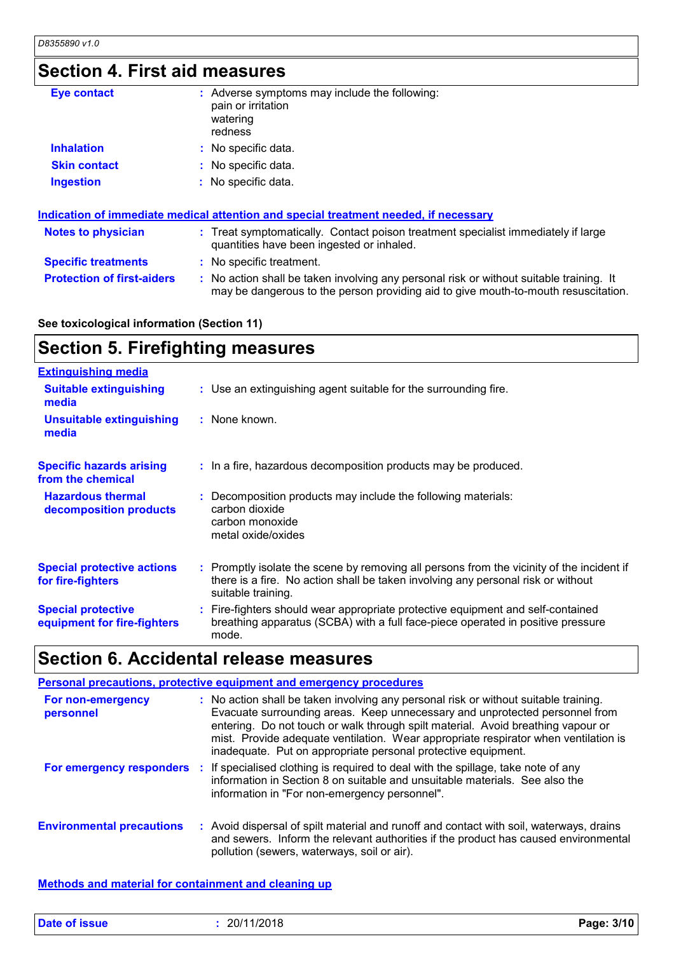# **Section 4. First aid measures**

| <b>Eye contact</b>                | : Adverse symptoms may include the following:<br>pain or irritation<br>watering<br>redness                                                                                    |
|-----------------------------------|-------------------------------------------------------------------------------------------------------------------------------------------------------------------------------|
| <b>Inhalation</b>                 | : No specific data.                                                                                                                                                           |
| <b>Skin contact</b>               | : No specific data.                                                                                                                                                           |
| <b>Ingestion</b>                  | : No specific data.                                                                                                                                                           |
|                                   | Indication of immediate medical attention and special treatment needed, if necessary                                                                                          |
| <b>Notes to physician</b>         | : Treat symptomatically. Contact poison treatment specialist immediately if large<br>quantities have been ingested or inhaled.                                                |
| <b>Specific treatments</b>        | : No specific treatment.                                                                                                                                                      |
| <b>Protection of first-aiders</b> | : No action shall be taken involving any personal risk or without suitable training. It<br>may be dangerous to the person providing aid to give mouth-to-mouth resuscitation. |

#### **See toxicological information (Section 11)**

# **Section 5. Firefighting measures**

| <b>Extinguishing media</b>                               |                                                                                                                                                                                                     |
|----------------------------------------------------------|-----------------------------------------------------------------------------------------------------------------------------------------------------------------------------------------------------|
| <b>Suitable extinguishing</b><br>media                   | : Use an extinguishing agent suitable for the surrounding fire.                                                                                                                                     |
| <b>Unsuitable extinguishing</b><br>media                 | : None known.                                                                                                                                                                                       |
| <b>Specific hazards arising</b><br>from the chemical     | : In a fire, hazardous decomposition products may be produced.                                                                                                                                      |
| <b>Hazardous thermal</b><br>decomposition products       | : Decomposition products may include the following materials:<br>carbon dioxide<br>carbon monoxide<br>metal oxide/oxides                                                                            |
| <b>Special protective actions</b><br>for fire-fighters   | : Promptly isolate the scene by removing all persons from the vicinity of the incident if<br>there is a fire. No action shall be taken involving any personal risk or without<br>suitable training. |
| <b>Special protective</b><br>equipment for fire-fighters | : Fire-fighters should wear appropriate protective equipment and self-contained<br>breathing apparatus (SCBA) with a full face-piece operated in positive pressure<br>mode.                         |

# **Section 6. Accidental release measures**

|                                  | <b>Personal precautions, protective equipment and emergency procedures</b>                                                                                                                                                                                                                                                                                                                                      |
|----------------------------------|-----------------------------------------------------------------------------------------------------------------------------------------------------------------------------------------------------------------------------------------------------------------------------------------------------------------------------------------------------------------------------------------------------------------|
| For non-emergency<br>personnel   | : No action shall be taken involving any personal risk or without suitable training.<br>Evacuate surrounding areas. Keep unnecessary and unprotected personnel from<br>entering. Do not touch or walk through spilt material. Avoid breathing vapour or<br>mist. Provide adequate ventilation. Wear appropriate respirator when ventilation is<br>inadequate. Put on appropriate personal protective equipment. |
| For emergency responders :       | If specialised clothing is required to deal with the spillage, take note of any<br>information in Section 8 on suitable and unsuitable materials. See also the<br>information in "For non-emergency personnel".                                                                                                                                                                                                 |
| <b>Environmental precautions</b> | : Avoid dispersal of spilt material and runoff and contact with soil, waterways, drains<br>and sewers. Inform the relevant authorities if the product has caused environmental<br>pollution (sewers, waterways, soil or air).                                                                                                                                                                                   |

#### **Methods and material for containment and cleaning up**

| <b>Date of issue</b> | 20/11/2018 | Page: 3/10 |
|----------------------|------------|------------|
|----------------------|------------|------------|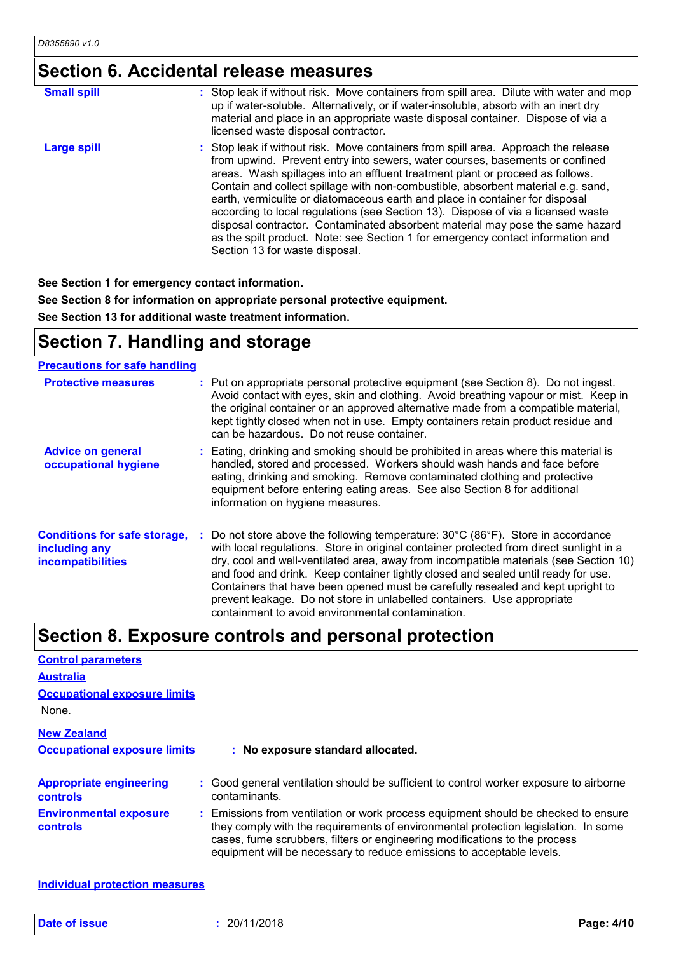# **Section 6. Accidental release measures**

| <b>Small spill</b> | : Stop leak if without risk. Move containers from spill area. Dilute with water and mop<br>up if water-soluble. Alternatively, or if water-insoluble, absorb with an inert dry<br>material and place in an appropriate waste disposal container. Dispose of via a<br>licensed waste disposal contractor.                                                                                                                                                                                                                                                                                                                                                                                                          |
|--------------------|-------------------------------------------------------------------------------------------------------------------------------------------------------------------------------------------------------------------------------------------------------------------------------------------------------------------------------------------------------------------------------------------------------------------------------------------------------------------------------------------------------------------------------------------------------------------------------------------------------------------------------------------------------------------------------------------------------------------|
| <b>Large spill</b> | : Stop leak if without risk. Move containers from spill area. Approach the release<br>from upwind. Prevent entry into sewers, water courses, basements or confined<br>areas. Wash spillages into an effluent treatment plant or proceed as follows.<br>Contain and collect spillage with non-combustible, absorbent material e.g. sand,<br>earth, vermiculite or diatomaceous earth and place in container for disposal<br>according to local regulations (see Section 13). Dispose of via a licensed waste<br>disposal contractor. Contaminated absorbent material may pose the same hazard<br>as the spilt product. Note: see Section 1 for emergency contact information and<br>Section 13 for waste disposal. |

**See Section 1 for emergency contact information.**

**See Section 8 for information on appropriate personal protective equipment.**

**See Section 13 for additional waste treatment information.**

### **Section 7. Handling and storage**

#### **Precautions for safe handling**

| <b>Protective measures</b>                                                       | : Put on appropriate personal protective equipment (see Section 8). Do not ingest.<br>Avoid contact with eyes, skin and clothing. Avoid breathing vapour or mist. Keep in<br>the original container or an approved alternative made from a compatible material,<br>kept tightly closed when not in use. Empty containers retain product residue and<br>can be hazardous. Do not reuse container.                                                                                                                                                                                                  |
|----------------------------------------------------------------------------------|---------------------------------------------------------------------------------------------------------------------------------------------------------------------------------------------------------------------------------------------------------------------------------------------------------------------------------------------------------------------------------------------------------------------------------------------------------------------------------------------------------------------------------------------------------------------------------------------------|
| <b>Advice on general</b><br>occupational hygiene                                 | : Eating, drinking and smoking should be prohibited in areas where this material is<br>handled, stored and processed. Workers should wash hands and face before<br>eating, drinking and smoking. Remove contaminated clothing and protective<br>equipment before entering eating areas. See also Section 8 for additional<br>information on hygiene measures.                                                                                                                                                                                                                                     |
| <b>Conditions for safe storage,</b><br>including any<br><b>incompatibilities</b> | : Do not store above the following temperature: $30^{\circ}$ C (86 $^{\circ}$ F). Store in accordance<br>with local regulations. Store in original container protected from direct sunlight in a<br>dry, cool and well-ventilated area, away from incompatible materials (see Section 10)<br>and food and drink. Keep container tightly closed and sealed until ready for use.<br>Containers that have been opened must be carefully resealed and kept upright to<br>prevent leakage. Do not store in unlabelled containers. Use appropriate<br>containment to avoid environmental contamination. |

### **Section 8. Exposure controls and personal protection**

| <b>Control parameters</b>                         |  |                                                                                                                                                                                                                                                                                                                                 |  |  |
|---------------------------------------------------|--|---------------------------------------------------------------------------------------------------------------------------------------------------------------------------------------------------------------------------------------------------------------------------------------------------------------------------------|--|--|
| <b>Australia</b>                                  |  |                                                                                                                                                                                                                                                                                                                                 |  |  |
| <b>Occupational exposure limits</b>               |  |                                                                                                                                                                                                                                                                                                                                 |  |  |
| None.                                             |  |                                                                                                                                                                                                                                                                                                                                 |  |  |
| <b>New Zealand</b>                                |  |                                                                                                                                                                                                                                                                                                                                 |  |  |
| <b>Occupational exposure limits</b>               |  | : No exposure standard allocated.                                                                                                                                                                                                                                                                                               |  |  |
| <b>Appropriate engineering</b><br><b>controls</b> |  | : Good general ventilation should be sufficient to control worker exposure to airborne<br>contaminants.                                                                                                                                                                                                                         |  |  |
| <b>Environmental exposure</b><br><b>controls</b>  |  | : Emissions from ventilation or work process equipment should be checked to ensure<br>they comply with the requirements of environmental protection legislation. In some<br>cases, fume scrubbers, filters or engineering modifications to the process<br>equipment will be necessary to reduce emissions to acceptable levels. |  |  |

**Individual protection measures**

|--|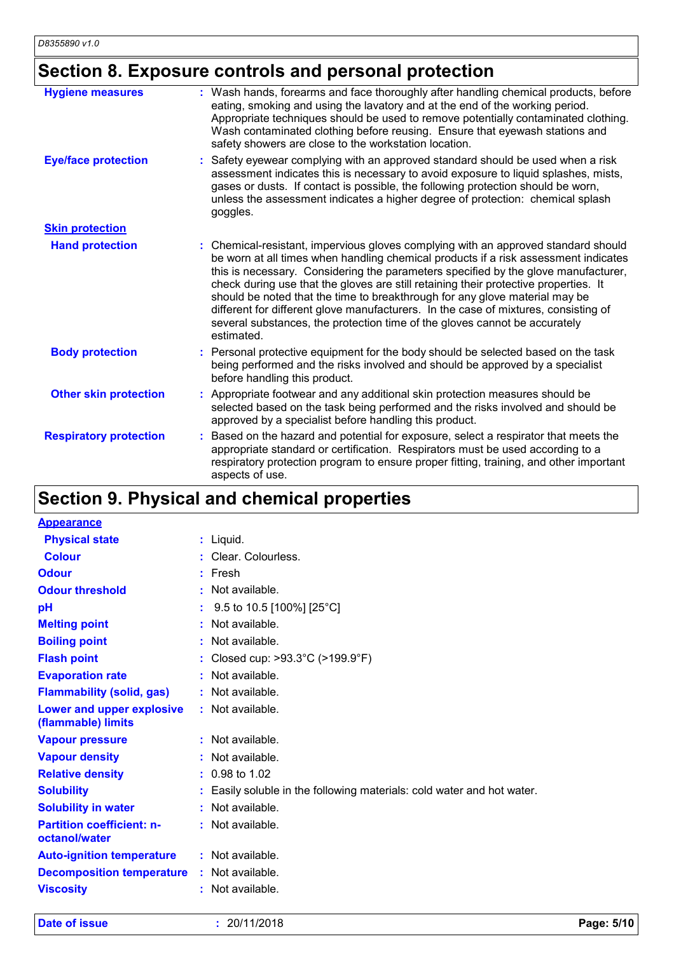# **Section 8. Exposure controls and personal protection**

| <b>Hygiene measures</b>       | : Wash hands, forearms and face thoroughly after handling chemical products, before<br>eating, smoking and using the lavatory and at the end of the working period.<br>Appropriate techniques should be used to remove potentially contaminated clothing.<br>Wash contaminated clothing before reusing. Ensure that eyewash stations and<br>safety showers are close to the workstation location.                                                                                                                                                                                                                         |
|-------------------------------|---------------------------------------------------------------------------------------------------------------------------------------------------------------------------------------------------------------------------------------------------------------------------------------------------------------------------------------------------------------------------------------------------------------------------------------------------------------------------------------------------------------------------------------------------------------------------------------------------------------------------|
| <b>Eye/face protection</b>    | Safety eyewear complying with an approved standard should be used when a risk<br>assessment indicates this is necessary to avoid exposure to liquid splashes, mists,<br>gases or dusts. If contact is possible, the following protection should be worn,<br>unless the assessment indicates a higher degree of protection: chemical splash<br>goggles.                                                                                                                                                                                                                                                                    |
| <b>Skin protection</b>        |                                                                                                                                                                                                                                                                                                                                                                                                                                                                                                                                                                                                                           |
| <b>Hand protection</b>        | : Chemical-resistant, impervious gloves complying with an approved standard should<br>be worn at all times when handling chemical products if a risk assessment indicates<br>this is necessary. Considering the parameters specified by the glove manufacturer,<br>check during use that the gloves are still retaining their protective properties. It<br>should be noted that the time to breakthrough for any glove material may be<br>different for different glove manufacturers. In the case of mixtures, consisting of<br>several substances, the protection time of the gloves cannot be accurately<br>estimated. |
| <b>Body protection</b>        | : Personal protective equipment for the body should be selected based on the task<br>being performed and the risks involved and should be approved by a specialist<br>before handling this product.                                                                                                                                                                                                                                                                                                                                                                                                                       |
| <b>Other skin protection</b>  | Appropriate footwear and any additional skin protection measures should be<br>selected based on the task being performed and the risks involved and should be<br>approved by a specialist before handling this product.                                                                                                                                                                                                                                                                                                                                                                                                   |
| <b>Respiratory protection</b> | Based on the hazard and potential for exposure, select a respirator that meets the<br>appropriate standard or certification. Respirators must be used according to a<br>respiratory protection program to ensure proper fitting, training, and other important<br>aspects of use.                                                                                                                                                                                                                                                                                                                                         |

# **Section 9. Physical and chemical properties**

| <b>Appearance</b>                                 |                                                                        |
|---------------------------------------------------|------------------------------------------------------------------------|
| <b>Physical state</b>                             | $:$ Liquid.                                                            |
| <b>Colour</b>                                     | : Clear. Colourless.                                                   |
| <b>Odour</b>                                      | $:$ Fresh                                                              |
| <b>Odour threshold</b>                            | $\cdot$ Not available.                                                 |
| pH                                                | 9.5 to 10.5 [100%] [25°C]                                              |
| <b>Melting point</b>                              | $:$ Not available.                                                     |
| <b>Boiling point</b>                              | : Not available.                                                       |
| <b>Flash point</b>                                | : Closed cup: $>93.3^{\circ}$ C ( $>199.9^{\circ}$ F)                  |
| <b>Evaporation rate</b>                           | : Not available.                                                       |
| <b>Flammability (solid, gas)</b>                  | : Not available.                                                       |
| Lower and upper explosive<br>(flammable) limits   | : Not available.                                                       |
| <b>Vapour pressure</b>                            | : Not available.                                                       |
| <b>Vapour density</b>                             | : Not available.                                                       |
| <b>Relative density</b>                           | $: 0.98$ to 1.02                                                       |
| <b>Solubility</b>                                 | : Easily soluble in the following materials: cold water and hot water. |
| <b>Solubility in water</b>                        | $:$ Not available.                                                     |
| <b>Partition coefficient: n-</b><br>octanol/water | : Not available.                                                       |
| <b>Auto-ignition temperature</b>                  | : Not available.                                                       |
| <b>Decomposition temperature</b>                  | : Not available.                                                       |
| <b>Viscosity</b>                                  | : Not available.                                                       |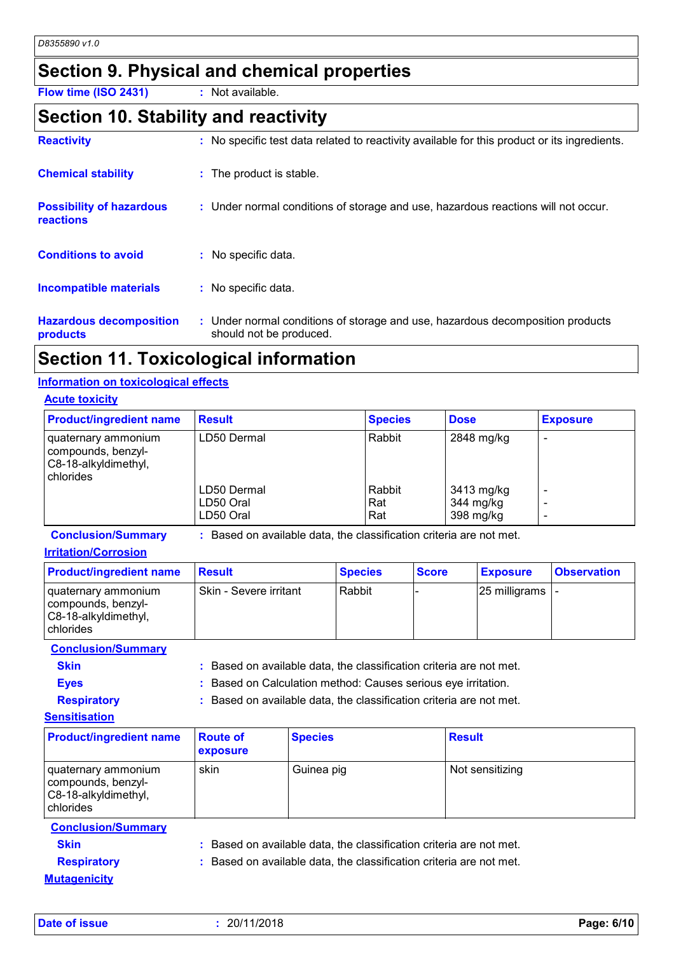### **Section 9. Physical and chemical properties**

**Flow time (ISO 2431) :** Not available.

### **Section 10. Stability and reactivity**

| <b>Reactivity</b>                            | : No specific test data related to reactivity available for this product or its ingredients.              |
|----------------------------------------------|-----------------------------------------------------------------------------------------------------------|
| <b>Chemical stability</b>                    | : The product is stable.                                                                                  |
| <b>Possibility of hazardous</b><br>reactions | : Under normal conditions of storage and use, hazardous reactions will not occur.                         |
| <b>Conditions to avoid</b>                   | No specific data.                                                                                         |
| <b>Incompatible materials</b>                | : No specific data.                                                                                       |
| <b>Hazardous decomposition</b><br>products   | : Under normal conditions of storage and use, hazardous decomposition products<br>should not be produced. |

### **Section 11. Toxicological information**

#### **Information on toxicological effects**

| <b>Acute toxicity</b> |  |
|-----------------------|--|
|                       |  |

| <b>Product/ingredient name</b>                                                 | <b>Result</b>            | <b>Species</b> | <b>Dose</b>             | <b>Exposure</b> |
|--------------------------------------------------------------------------------|--------------------------|----------------|-------------------------|-----------------|
| quaternary ammonium<br>compounds, benzyl-<br>C8-18-alkyldimethyl,<br>chlorides | LD50 Dermal              | Rabbit         | 2848 mg/kg              |                 |
|                                                                                | LD50 Dermal<br>LD50 Oral | Rabbit<br>Rat  | 3413 mg/kg<br>344 mg/kg |                 |
|                                                                                | LD50 Oral                | Rat            | 398 mg/kg               |                 |

**Conclusion/Summary :** Based on available data, the classification criteria are not met.

#### **Irritation/Corrosion**

| <b>Product/ingredient name</b>                                                 | <b>Result</b>            | <b>Species</b> | <b>Score</b> | <b>Exposure</b> | <b>Observation</b> |
|--------------------------------------------------------------------------------|--------------------------|----------------|--------------|-----------------|--------------------|
| quaternary ammonium<br>compounds, benzyl-<br>C8-18-alkyldimethyl,<br>chlorides | l Skin - Severe irritant | Rabbit         |              | 25 milligrams - |                    |

**Conclusion/Summary**

- **Skin Example 2018 :** Based on available data, the classification criteria are not met.
- **Eyes :** Based on Calculation method: Causes serious eye irritation.

**Respiratory :** Based on available data, the classification criteria are not met.

#### **Sensitisation**

| <b>Product/ingredient name</b>                                                 | <b>Route of</b><br>exposure | <b>Species</b> | <b>Result</b>   |
|--------------------------------------------------------------------------------|-----------------------------|----------------|-----------------|
| quaternary ammonium<br>compounds, benzyl-<br>C8-18-alkyldimethyl,<br>chlorides | skin                        | Guinea pig     | Not sensitizing |

**Conclusion/Summary**

**Mutagenicity**

**Skin Example 20 EXAMPLE 1 Based on available data, the classification criteria are not met.** 

**Respiratory :** Based on available data, the classification criteria are not met.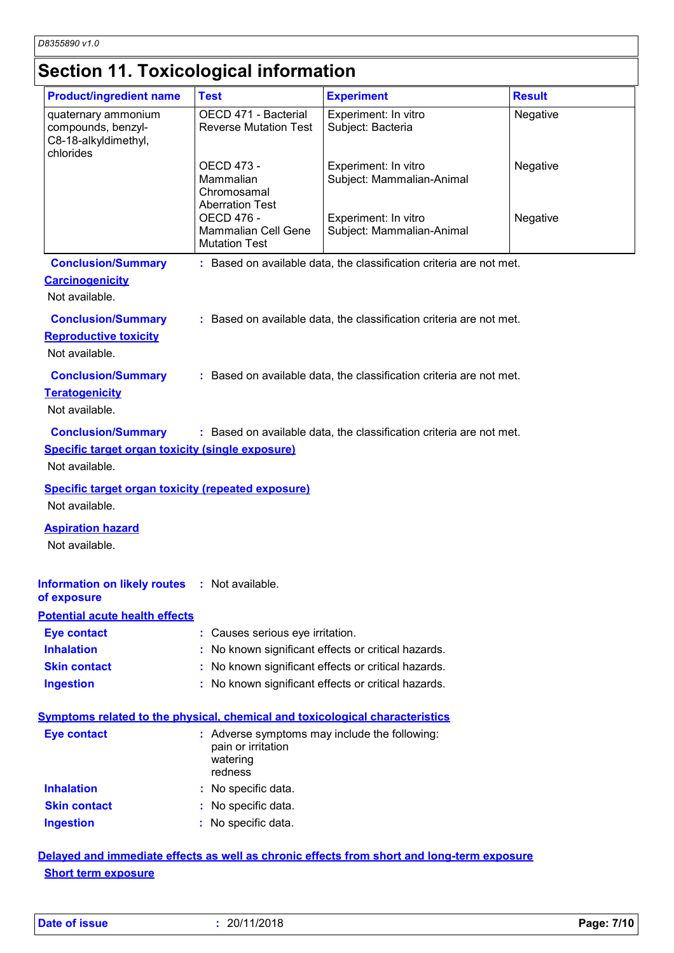# **Section 11. Toxicological information**

| <b>Product/ingredient name</b>                                                                         | <b>Test</b>                                                                                | <b>Experiment</b>                                                   | <b>Result</b> |
|--------------------------------------------------------------------------------------------------------|--------------------------------------------------------------------------------------------|---------------------------------------------------------------------|---------------|
| quaternary ammonium<br>compounds, benzyl-<br>C8-18-alkyldimethyl,<br>chlorides                         | OECD 471 - Bacterial<br><b>Reverse Mutation Test</b>                                       | Experiment: In vitro<br>Subject: Bacteria                           | Negative      |
|                                                                                                        | OECD 473 -<br>Mammalian<br>Chromosamal<br><b>Aberration Test</b>                           | Experiment: In vitro<br>Subject: Mammalian-Animal                   | Negative      |
|                                                                                                        | <b>OECD 476 -</b><br><b>Mammalian Cell Gene</b><br><b>Mutation Test</b>                    | Experiment: In vitro<br>Subject: Mammalian-Animal                   | Negative      |
| <b>Conclusion/Summary</b><br><b>Carcinogenicity</b><br>Not available.                                  |                                                                                            | : Based on available data, the classification criteria are not met. |               |
| <b>Conclusion/Summary</b><br><b>Reproductive toxicity</b><br>Not available.                            |                                                                                            | : Based on available data, the classification criteria are not met. |               |
| <b>Conclusion/Summary</b><br><b>Teratogenicity</b><br>Not available.                                   |                                                                                            | : Based on available data, the classification criteria are not met. |               |
| <b>Conclusion/Summary</b><br><b>Specific target organ toxicity (single exposure)</b><br>Not available. |                                                                                            | : Based on available data, the classification criteria are not met. |               |
| <b>Specific target organ toxicity (repeated exposure)</b><br>Not available.                            |                                                                                            |                                                                     |               |
| <b>Aspiration hazard</b><br>Not available.                                                             |                                                                                            |                                                                     |               |
| Information on likely routes : Not available.<br>of exposure                                           |                                                                                            |                                                                     |               |
| <b>Potential acute health effects</b>                                                                  |                                                                                            |                                                                     |               |
| <b>Eye contact</b>                                                                                     | : Causes serious eye irritation.                                                           |                                                                     |               |
| <b>Inhalation</b>                                                                                      | : No known significant effects or critical hazards.                                        |                                                                     |               |
| <b>Skin contact</b>                                                                                    |                                                                                            | : No known significant effects or critical hazards.                 |               |
| <b>Ingestion</b>                                                                                       | : No known significant effects or critical hazards.                                        |                                                                     |               |
| Symptoms related to the physical, chemical and toxicological characteristics                           |                                                                                            |                                                                     |               |
| <b>Eye contact</b>                                                                                     | : Adverse symptoms may include the following:<br>pain or irritation<br>watering<br>redness |                                                                     |               |
| <b>Inhalation</b>                                                                                      | : No specific data.                                                                        |                                                                     |               |
| <b>Skin contact</b>                                                                                    | : No specific data.                                                                        |                                                                     |               |
| <b>Ingestion</b>                                                                                       | : No specific data.                                                                        |                                                                     |               |
|                                                                                                        |                                                                                            |                                                                     |               |

**Delayed and immediate effects as well as chronic effects from short and long-term exposure Short term exposure**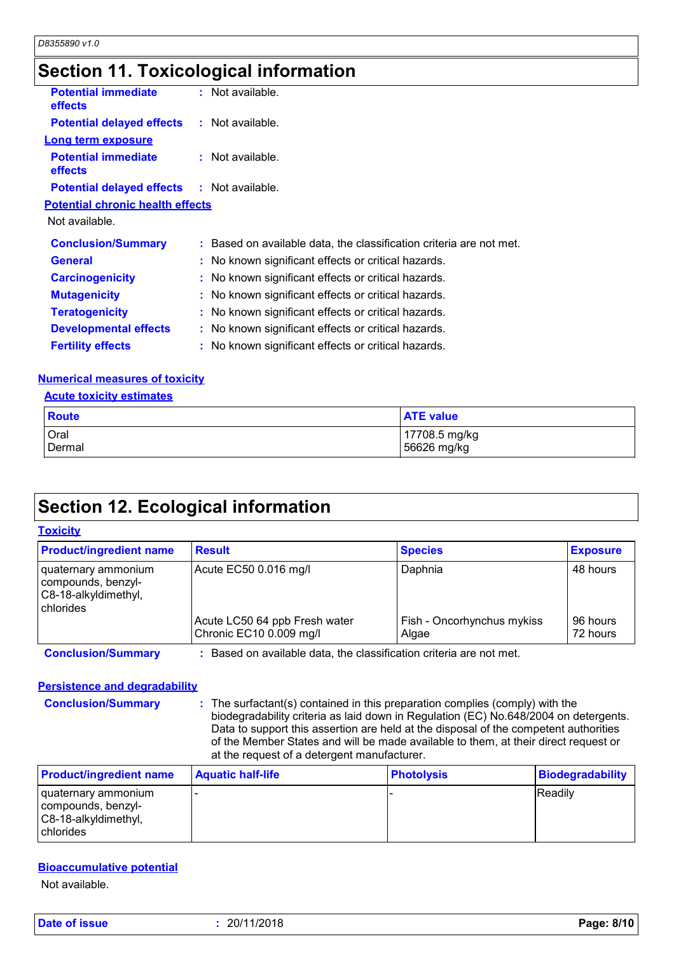## **Section 11. Toxicological information**

| <b>Potential immediate</b><br>effects             | $:$ Not available.                                                  |
|---------------------------------------------------|---------------------------------------------------------------------|
| <b>Potential delayed effects : Not available.</b> |                                                                     |
| <b>Long term exposure</b>                         |                                                                     |
| <b>Potential immediate</b><br><b>effects</b>      | $:$ Not available.                                                  |
| <b>Potential delayed effects : Not available.</b> |                                                                     |
| <b>Potential chronic health effects</b>           |                                                                     |
| Not available.                                    |                                                                     |
| <b>Conclusion/Summary</b>                         | : Based on available data, the classification criteria are not met. |
| <b>General</b>                                    | : No known significant effects or critical hazards.                 |
| <b>Carcinogenicity</b>                            | : No known significant effects or critical hazards.                 |
| <b>Mutagenicity</b>                               | : No known significant effects or critical hazards.                 |
| <b>Teratogenicity</b>                             | : No known significant effects or critical hazards.                 |
| <b>Developmental effects</b>                      | : No known significant effects or critical hazards.                 |
| <b>Fertility effects</b>                          | : No known significant effects or critical hazards.                 |

#### **Numerical measures of toxicity**

#### **Acute toxicity estimates**

| Route         | <b>ATE value</b> |
|---------------|------------------|
| Oral          | 17708.5 mg/kg    |
| <b>Dermal</b> | 56626 mg/kg      |

### **Section 12. Ecological information**

#### **Toxicity**

| <b>Product/ingredient name</b>                                                 | <b>Result</b>                                            | <b>Species</b>                      | <b>Exposure</b>      |
|--------------------------------------------------------------------------------|----------------------------------------------------------|-------------------------------------|----------------------|
| quaternary ammonium<br>compounds, benzyl-<br>C8-18-alkyldimethyl,<br>chlorides | Acute EC50 0.016 mg/l                                    | Daphnia                             | 48 hours             |
|                                                                                | Acute LC50 64 ppb Fresh water<br>Chronic EC10 0.009 mg/l | Fish - Oncorhynchus mykiss<br>Algae | 96 hours<br>72 hours |

**Conclusion/Summary :** Based on available data, the classification criteria are not met.

#### **Persistence and degradability**

**Conclusion/Summary :** The surfactant(s) contained in this preparation complies (comply) with the biodegradability criteria as laid down in Regulation (EC) No.648/2004 on detergents. Data to support this assertion are held at the disposal of the competent authorities of the Member States and will be made available to them, at their direct request or at the request of a detergent manufacturer.

| <b>Product/ingredient name</b>                                                     | <b>Aquatic half-life</b> | <b>Photolysis</b> | <b>Biodegradability</b> |
|------------------------------------------------------------------------------------|--------------------------|-------------------|-------------------------|
| I quaternary ammonium<br>compounds, benzyl-<br>C8-18-alkyldimethyl,<br>I chlorides |                          |                   | Readily                 |

#### **Bioaccumulative potential**

Not available.

**Date of issue :** 20/11/2018 **Page: 8/10**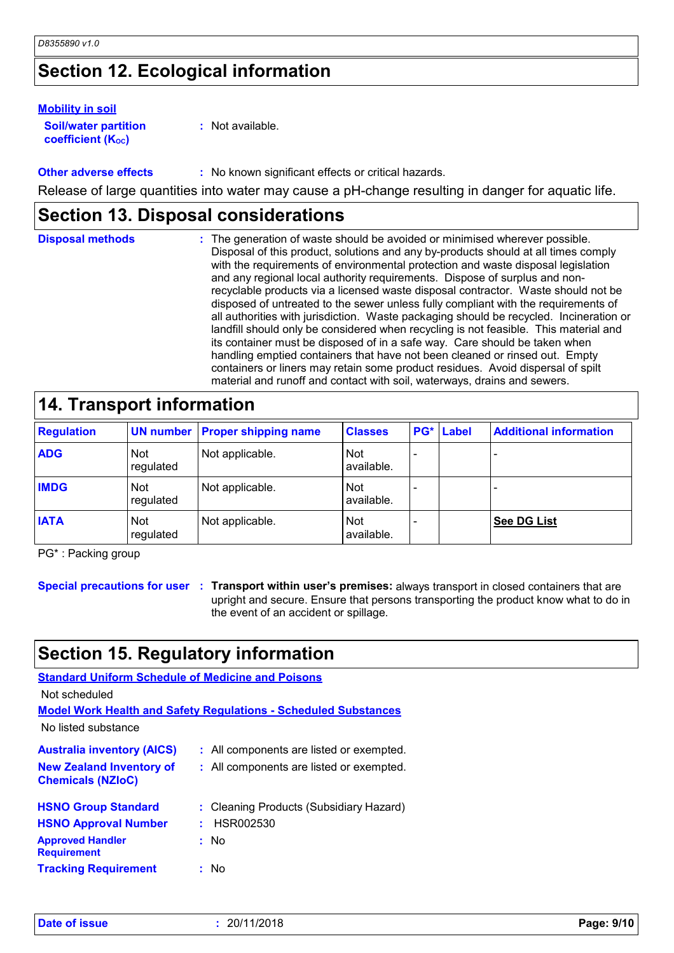# **Section 12. Ecological information**

#### **Mobility in soil**

| <b>Soil/water partition</b> |  |
|-----------------------------|--|
| <b>coefficient (Koc)</b>    |  |

**:** Not available.

**Other adverse effects** : No known significant effects or critical hazards. Release of large quantities into water may cause a pH-change resulting in danger for aquatic life.

### **Section 13. Disposal considerations**

| <b>Disposal methods</b> | : The generation of waste should be avoided or minimised wherever possible.<br>Disposal of this product, solutions and any by-products should at all times comply<br>with the requirements of environmental protection and waste disposal legislation<br>and any regional local authority requirements. Dispose of surplus and non-<br>recyclable products via a licensed waste disposal contractor. Waste should not be<br>disposed of untreated to the sewer unless fully compliant with the requirements of<br>all authorities with jurisdiction. Waste packaging should be recycled. Incineration or<br>landfill should only be considered when recycling is not feasible. This material and<br>its container must be disposed of in a safe way. Care should be taken when<br>handling emptied containers that have not been cleaned or rinsed out. Empty<br>containers or liners may retain some product residues. Avoid dispersal of spilt |
|-------------------------|--------------------------------------------------------------------------------------------------------------------------------------------------------------------------------------------------------------------------------------------------------------------------------------------------------------------------------------------------------------------------------------------------------------------------------------------------------------------------------------------------------------------------------------------------------------------------------------------------------------------------------------------------------------------------------------------------------------------------------------------------------------------------------------------------------------------------------------------------------------------------------------------------------------------------------------------------|
|                         | material and runoff and contact with soil, waterways, drains and sewers.                                                                                                                                                                                                                                                                                                                                                                                                                                                                                                                                                                                                                                                                                                                                                                                                                                                                         |

### **14. Transport information**

| <b>Regulation</b> |                         | <b>UN number Proper shipping name</b> | <b>Classes</b>    | <b>PG*</b> | Label | <b>Additional information</b> |
|-------------------|-------------------------|---------------------------------------|-------------------|------------|-------|-------------------------------|
| <b>ADG</b>        | <b>Not</b><br>regulated | Not applicable.                       | Not<br>available. |            |       |                               |
| <b>IMDG</b>       | <b>Not</b><br>regulated | Not applicable.                       | Not<br>available. |            |       |                               |
| <b>IATA</b>       | <b>Not</b><br>regulated | Not applicable.                       | Not<br>available. |            |       | <b>See DG List</b>            |

PG\* : Packing group

**Special precautions for user Transport within user's premises:** always transport in closed containers that are **:** upright and secure. Ensure that persons transporting the product know what to do in the event of an accident or spillage.

# **Section 15. Regulatory information**

#### **Standard Uniform Schedule of Medicine and Poisons**

Not scheduled

**Model Work Health and Safety Regulations - Scheduled Substances**

No listed substance

| <b>Australia inventory (AICS)</b><br><b>New Zealand Inventory of</b><br><b>Chemicals (NZIoC)</b> | : All components are listed or exempted.<br>: All components are listed or exempted. |  |
|--------------------------------------------------------------------------------------------------|--------------------------------------------------------------------------------------|--|
| <b>HSNO Group Standard</b>                                                                       | : Cleaning Products (Subsidiary Hazard)                                              |  |
| <b>HSNO Approval Number</b>                                                                      | : HSR002530                                                                          |  |
| <b>Approved Handler</b><br><b>Requirement</b>                                                    | : No                                                                                 |  |
| <b>Tracking Requirement</b>                                                                      | : No                                                                                 |  |

| Date of issue | 20/11/2018 | Page: 9/10 |
|---------------|------------|------------|
|               |            |            |